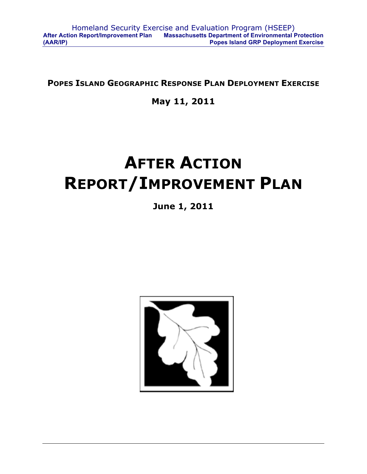**POPES ISLAND GEOGRAPHIC RESPONSE PLAN DEPLOYMENT EXERCISE**

**May 11, 2011**

# **AFTER ACTION REPORT/IMPROVEMENT PLAN**

**June 1, 2011**

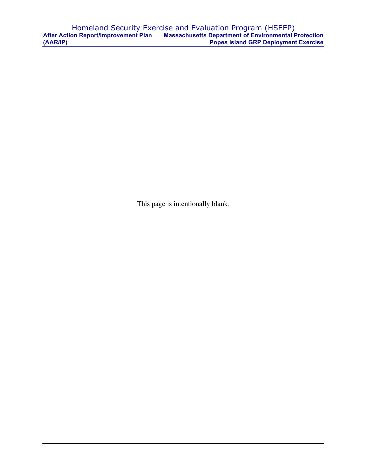This page is intentionally blank.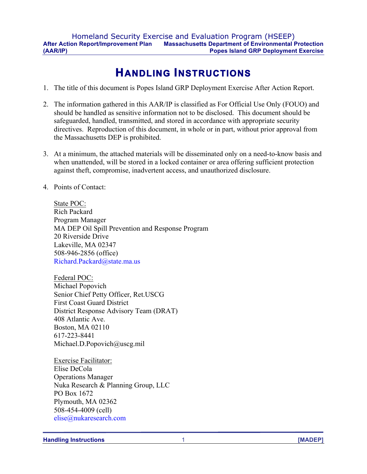## **HANDLING INSTRUCTIONS**

- 1. The title of this document is Popes Island GRP Deployment Exercise After Action Report.
- 2. The information gathered in this AAR/IP is classified as For Official Use Only (FOUO) and should be handled as sensitive information not to be disclosed. This document should be safeguarded, handled, transmitted, and stored in accordance with appropriate security directives. Reproduction of this document, in whole or in part, without prior approval from the Massachusetts DEP is prohibited.
- 3. At a minimum, the attached materials will be disseminated only on a need-to-know basis and when unattended, will be stored in a locked container or area offering sufficient protection against theft, compromise, inadvertent access, and unauthorized disclosure.
- 4. Points of Contact:

State POC: Rich Packard Program Manager MA DEP Oil Spill Prevention and Response Program 20 Riverside Drive Lakeville, MA 02347 508-946-2856 (office) Richard.Packard@state.ma.us

Federal POC: Michael Popovich Senior Chief Petty Officer, Ret.USCG First Coast Guard District District Response Advisory Team (DRAT) 408 Atlantic Ave. Boston, MA 02110 617-223-8441 Michael.D.Popovich@uscg.mil

Exercise Facilitator: Elise DeCola Operations Manager Nuka Research & Planning Group, LLC PO Box 1672 Plymouth, MA 02362 508-454-4009 (cell) elise@nukaresearch.com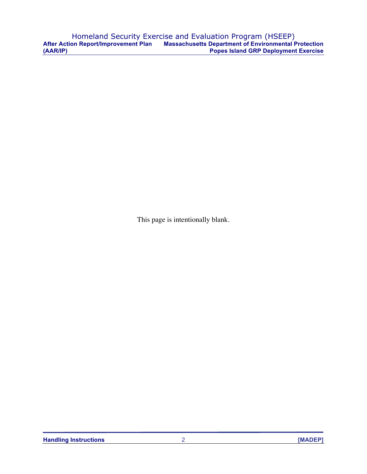This page is intentionally blank.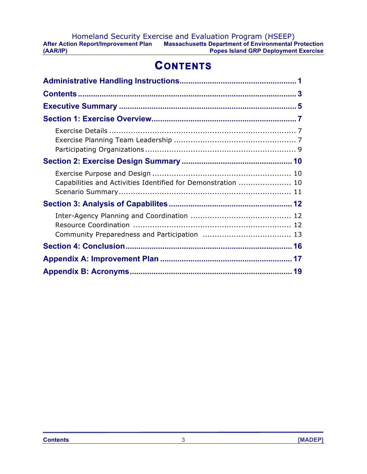Homeland Security Exercise and Evaluation Program (HSEEP) **After Action Report/Improvement Plan Massachusetts Department of Environmental Protection (AAR/IP) Popes Island GRP Deployment Exercise**

## **CONTENTS**

| Capabilities and Activities Identified for Demonstration  10 |  |
|--------------------------------------------------------------|--|
|                                                              |  |
|                                                              |  |
|                                                              |  |
|                                                              |  |
|                                                              |  |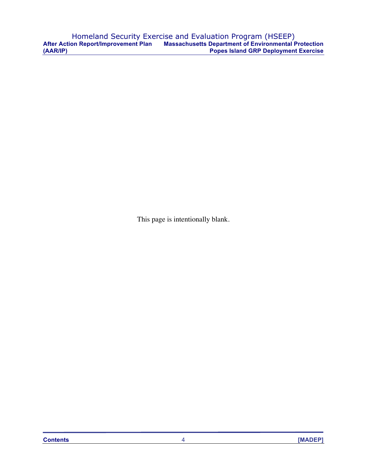This page is intentionally blank.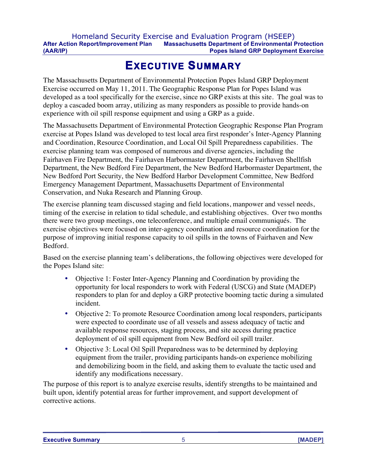## **EXECUTIVE SUMMARY**

The Massachusetts Department of Environmental Protection Popes Island GRP Deployment Exercise occurred on May 11, 2011. The Geographic Response Plan for Popes Island was developed as a tool specifically for the exercise, since no GRP exists at this site. The goal was to deploy a cascaded boom array, utilizing as many responders as possible to provide hands-on experience with oil spill response equipment and using a GRP as a guide.

The Massachusetts Department of Environmental Protection Geographic Response Plan Program exercise at Popes Island was developed to test local area first responder's Inter-Agency Planning and Coordination, Resource Coordination, and Local Oil Spill Preparedness capabilities. The exercise planning team was composed of numerous and diverse agencies, including the Fairhaven Fire Department, the Fairhaven Harbormaster Department, the Fairhaven Shellfish Department, the New Bedford Fire Department, the New Bedford Harbormaster Department, the New Bedford Port Security, the New Bedford Harbor Development Committee, New Bedford Emergency Management Department, Massachusetts Department of Environmental Conservation, and Nuka Research and Planning Group.

The exercise planning team discussed staging and field locations, manpower and vessel needs, timing of the exercise in relation to tidal schedule, and establishing objectives. Over two months there were two group meetings, one teleconference, and multiple email communiqués. The exercise objectives were focused on inter-agency coordination and resource coordination for the purpose of improving initial response capacity to oil spills in the towns of Fairhaven and New Bedford.

Based on the exercise planning team's deliberations, the following objectives were developed for the Popes Island site:

- Objective 1: Foster Inter-Agency Planning and Coordination by providing the opportunity for local responders to work with Federal (USCG) and State (MADEP) responders to plan for and deploy a GRP protective booming tactic during a simulated incident.
- Objective 2: To promote Resource Coordination among local responders, participants were expected to coordinate use of all vessels and assess adequacy of tactic and available response resources, staging process, and site access during practice deployment of oil spill equipment from New Bedford oil spill trailer.
- Objective 3: Local Oil Spill Preparedness was to be determined by deploying equipment from the trailer, providing participants hands-on experience mobilizing and demobilizing boom in the field, and asking them to evaluate the tactic used and identify any modifications necessary.

The purpose of this report is to analyze exercise results, identify strengths to be maintained and built upon, identify potential areas for further improvement, and support development of corrective actions.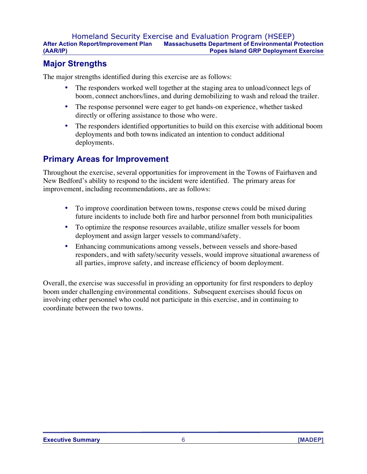## **Major Strengths**

The major strengths identified during this exercise are as follows:

- The responders worked well together at the staging area to unload/connect legs of boom, connect anchors/lines, and during demobilizing to wash and reload the trailer.
- The response personnel were eager to get hands-on experience, whether tasked directly or offering assistance to those who were.
- The responders identified opportunities to build on this exercise with additional boom deployments and both towns indicated an intention to conduct additional deployments.

## **Primary Areas for Improvement**

Throughout the exercise, several opportunities for improvement in the Towns of Fairhaven and New Bedford's ability to respond to the incident were identified. The primary areas for improvement, including recommendations, are as follows:

- To improve coordination between towns, response crews could be mixed during future incidents to include both fire and harbor personnel from both municipalities
- To optimize the response resources available, utilize smaller vessels for boom deployment and assign larger vessels to command/safety.
- Enhancing communications among vessels, between vessels and shore-based responders, and with safety/security vessels, would improve situational awareness of all parties, improve safety, and increase efficiency of boom deployment.

Overall, the exercise was successful in providing an opportunity for first responders to deploy boom under challenging environmental conditions. Subsequent exercises should focus on involving other personnel who could not participate in this exercise, and in continuing to coordinate between the two towns.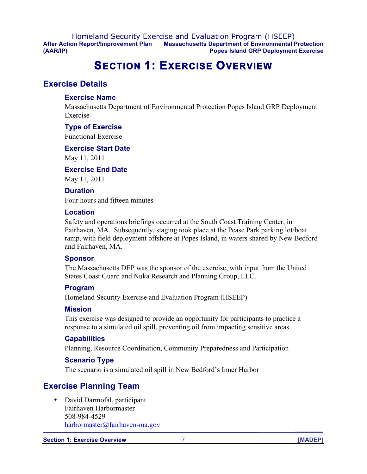## **SECTION 1: EXERCISE OVERVIEW**

## **Exercise Details**

## **Exercise Name**

Massachusetts Department of Environmental Protection Popes Island GRP Deployment Exercise

## **Type of Exercise**

Functional Exercise

**Exercise Start Date** May 11, 2011

**Exercise End Date** May 11, 2011

## **Duration**

Four hours and fifteen minutes

## **Location**

Safety and operations briefings occurred at the South Coast Training Center, in Fairhaven, MA. Subsequently, staging took place at the Pease Park parking lot/boat ramp, with field deployment offshore at Popes Island, in waters shared by New Bedford and Fairhaven, MA.

## **Sponsor**

The Massachusetts DEP was the sponsor of the exercise, with input from the United States Coast Guard and Nuka Research and Planning Group, LLC.

## **Program**

Homeland Security Exercise and Evaluation Program (HSEEP)

## **Mission**

This exercise was designed to provide an opportunity for participants to practice a response to a simulated oil spill, preventing oil from impacting sensitive areas.

## **Capabilities**

Planning, Resource Coordination, Community Preparedness and Participation

## **Scenario Type**

The scenario is a simulated oil spill in New Bedford's Inner Harbor

## **Exercise Planning Team**

• David Darmofal, participant Fairhaven Harbormaster 508-984-4529 harbormaster@fairhaven-ma.gov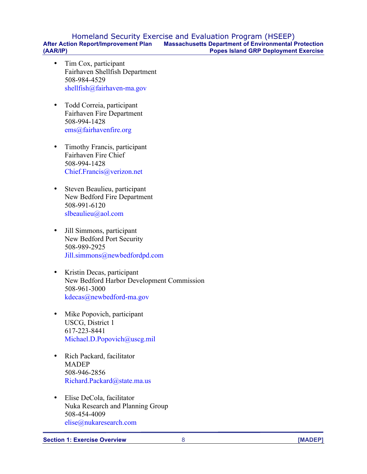- Tim Cox, participant Fairhaven Shellfish Department 508-984-4529 shellfish@fairhaven-ma.gov
- Todd Correia, participant Fairhaven Fire Department 508-994-1428 ems@fairhavenfire.org
- Timothy Francis, participant Fairhaven Fire Chief 508-994-1428 Chief.Francis@verizon.net
- Steven Beaulieu, participant New Bedford Fire Department 508-991-6120 slbeaulieu@aol.com
- Jill Simmons, participant New Bedford Port Security 508-989-2925 Jill.simmons@newbedfordpd.com
- Kristin Decas, participant New Bedford Harbor Development Commission 508-961-3000 kdecas@newbedford-ma.gov
- Mike Popovich, participant USCG, District 1 617-223-8441 Michael.D.Popovich@uscg.mil
- Rich Packard, facilitator MADEP 508-946-2856 Richard.Packard@state.ma.us
- Elise DeCola, facilitator Nuka Research and Planning Group 508-454-4009 elise@nukaresearch.com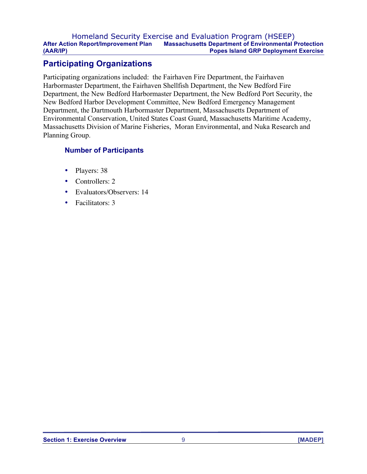## **Participating Organizations**

Participating organizations included: the Fairhaven Fire Department, the Fairhaven Harbormaster Department, the Fairhaven Shellfish Department, the New Bedford Fire Department, the New Bedford Harbormaster Department, the New Bedford Port Security, the New Bedford Harbor Development Committee, New Bedford Emergency Management Department, the Dartmouth Harbormaster Department, Massachusetts Department of Environmental Conservation, United States Coast Guard, Massachusetts Maritime Academy, Massachusetts Division of Marine Fisheries, Moran Environmental, and Nuka Research and Planning Group.

## **Number of Participants**

- Players: 38
- Controllers: 2
- Evaluators/Observers: 14
- Facilitators: 3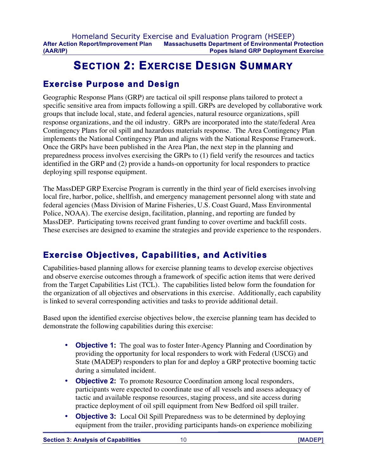## **SECTION 2: EXERCISE DESIGN SUMMARY**

## **Exercise Purpose and Design**

Geographic Response Plans (GRP) are tactical oil spill response plans tailored to protect a specific sensitive area from impacts following a spill. GRPs are developed by collaborative work groups that include local, state, and federal agencies, natural resource organizations, spill response organizations, and the oil industry. GRPs are incorporated into the state/federal Area Contingency Plans for oil spill and hazardous materials response. The Area Contingency Plan implements the National Contingency Plan and aligns with the National Response Framework. Once the GRPs have been published in the Area Plan, the next step in the planning and preparedness process involves exercising the GRPs to (1) field verify the resources and tactics identified in the GRP and (2) provide a hands-on opportunity for local responders to practice deploying spill response equipment.

The MassDEP GRP Exercise Program is currently in the third year of field exercises involving local fire, harbor, police, shellfish, and emergency management personnel along with state and federal agencies (Mass Division of Marine Fisheries, U.S. Coast Guard, Mass Environmental Police, NOAA). The exercise design, facilitation, planning, and reporting are funded by MassDEP. Participating towns received grant funding to cover overtime and backfill costs. These exercises are designed to examine the strategies and provide experience to the responders.

## **Exercise Objectives, Capabilities, and Activities**

Capabilities-based planning allows for exercise planning teams to develop exercise objectives and observe exercise outcomes through a framework of specific action items that were derived from the Target Capabilities List (TCL). The capabilities listed below form the foundation for the organization of all objectives and observations in this exercise. Additionally, each capability is linked to several corresponding activities and tasks to provide additional detail.

Based upon the identified exercise objectives below, the exercise planning team has decided to demonstrate the following capabilities during this exercise:

- **Objective 1:** The goal was to foster Inter-Agency Planning and Coordination by providing the opportunity for local responders to work with Federal (USCG) and State (MADEP) responders to plan for and deploy a GRP protective booming tactic during a simulated incident.
- **Objective 2:** To promote Resource Coordination among local responders, participants were expected to coordinate use of all vessels and assess adequacy of tactic and available response resources, staging process, and site access during practice deployment of oil spill equipment from New Bedford oil spill trailer.
- **Objective 3:** Local Oil Spill Preparedness was to be determined by deploying equipment from the trailer, providing participants hands-on experience mobilizing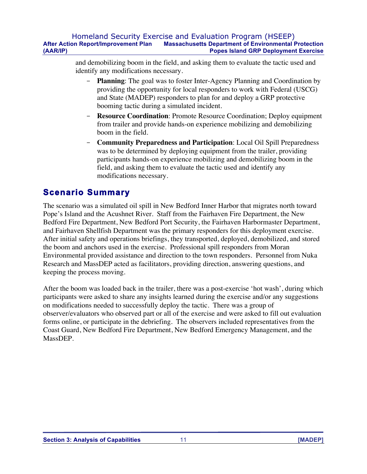and demobilizing boom in the field, and asking them to evaluate the tactic used and identify any modifications necessary.

- **Planning**: The goal was to foster Inter-Agency Planning and Coordination by providing the opportunity for local responders to work with Federal (USCG) and State (MADEP) responders to plan for and deploy a GRP protective booming tactic during a simulated incident.
- **Resource Coordination**: Promote Resource Coordination; Deploy equipment from trailer and provide hands-on experience mobilizing and demobilizing boom in the field.
- **Community Preparedness and Participation**: Local Oil Spill Preparedness was to be determined by deploying equipment from the trailer, providing participants hands-on experience mobilizing and demobilizing boom in the field, and asking them to evaluate the tactic used and identify any modifications necessary.

## **Scenario Summary**

The scenario was a simulated oil spill in New Bedford Inner Harbor that migrates north toward Pope's Island and the Acushnet River. Staff from the Fairhaven Fire Department, the New Bedford Fire Department, New Bedford Port Security, the Fairhaven Harbormaster Department, and Fairhaven Shellfish Department was the primary responders for this deployment exercise. After initial safety and operations briefings, they transported, deployed, demobilized, and stored the boom and anchors used in the exercise. Professional spill responders from Moran Environmental provided assistance and direction to the town responders. Personnel from Nuka Research and MassDEP acted as facilitators, providing direction, answering questions, and keeping the process moving.

After the boom was loaded back in the trailer, there was a post-exercise 'hot wash', during which participants were asked to share any insights learned during the exercise and/or any suggestions on modifications needed to successfully deploy the tactic. There was a group of observer/evaluators who observed part or all of the exercise and were asked to fill out evaluation forms online, or participate in the debriefing. The observers included representatives from the Coast Guard, New Bedford Fire Department, New Bedford Emergency Management, and the MassDEP.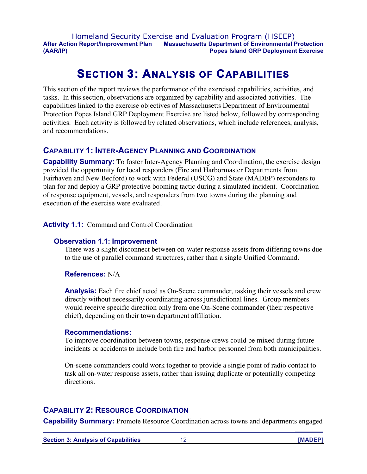## **SECTION 3: ANALYSIS OF CAPABILITIES**

This section of the report reviews the performance of the exercised capabilities, activities, and tasks. In this section, observations are organized by capability and associated activities. The capabilities linked to the exercise objectives of Massachusetts Department of Environmental Protection Popes Island GRP Deployment Exercise are listed below, followed by corresponding activities. Each activity is followed by related observations, which include references, analysis, and recommendations.

## **CAPABILITY 1: INTER-AGENCY PLANNING AND COORDINATION**

**Capability Summary:** To foster Inter-Agency Planning and Coordination, the exercise design provided the opportunity for local responders (Fire and Harbormaster Departments from Fairhaven and New Bedford) to work with Federal (USCG) and State (MADEP) responders to plan for and deploy a GRP protective booming tactic during a simulated incident. Coordination of response equipment, vessels, and responders from two towns during the planning and execution of the exercise were evaluated.

Activity 1.1: Command and Control Coordination

## **Observation 1.1: Improvement**

There was a slight disconnect between on-water response assets from differing towns due to the use of parallel command structures, rather than a single Unified Command.

## **References:** N/A

**Analysis:** Each fire chief acted as On-Scene commander, tasking their vessels and crew directly without necessarily coordinating across jurisdictional lines. Group members would receive specific direction only from one On-Scene commander (their respective chief), depending on their town department affiliation.

## **Recommendations:**

To improve coordination between towns, response crews could be mixed during future incidents or accidents to include both fire and harbor personnel from both municipalities.

On-scene commanders could work together to provide a single point of radio contact to task all on-water response assets, rather than issuing duplicate or potentially competing directions.

## **CAPABILITY 2: RESOURCE COORDINATION**

**Capability Summary:** Promote Resource Coordination across towns and departments engaged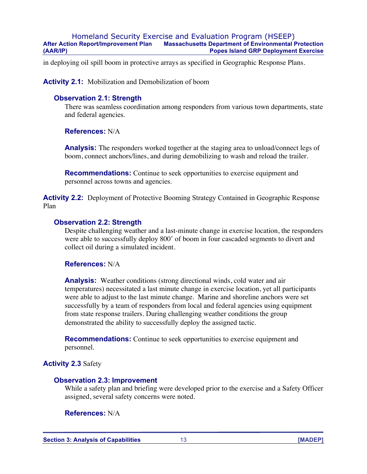in deploying oil spill boom in protective arrays as specified in Geographic Response Plans.

**Activity 2.1:** Mobilization and Demobilization of boom

#### **Observation 2.1: Strength**

There was seamless coordination among responders from various town departments, state and federal agencies.

**References:** N/A

**Analysis:** The responders worked together at the staging area to unload/connect legs of boom, connect anchors/lines, and during demobilizing to wash and reload the trailer.

**Recommendations:** Continue to seek opportunities to exercise equipment and personnel across towns and agencies.

**Activity 2.2:** Deployment of Protective Booming Strategy Contained in Geographic Response Plan

#### **Observation 2.2: Strength**

Despite challenging weather and a last-minute change in exercise location, the responders were able to successfully deploy 800' of boom in four cascaded segments to divert and collect oil during a simulated incident.

#### **References:** N/A

**Analysis:** Weather conditions (strong directional winds, cold water and air temperatures) necessitated a last minute change in exercise location, yet all participants were able to adjust to the last minute change. Marine and shoreline anchors were set successfully by a team of responders from local and federal agencies using equipment from state response trailers. During challenging weather conditions the group demonstrated the ability to successfully deploy the assigned tactic.

**Recommendations:** Continue to seek opportunities to exercise equipment and personnel.

#### **Activity 2.3** Safety

#### **Observation 2.3: Improvement**

While a safety plan and briefing were developed prior to the exercise and a Safety Officer assigned, several safety concerns were noted.

#### **References:** N/A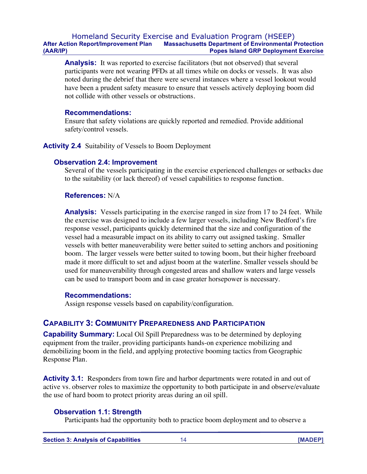**Analysis:** It was reported to exercise facilitators (but not observed) that several participants were not wearing PFDs at all times while on docks or vessels. It was also noted during the debrief that there were several instances where a vessel lookout would have been a prudent safety measure to ensure that vessels actively deploying boom did not collide with other vessels or obstructions.

#### **Recommendations:**

Ensure that safety violations are quickly reported and remedied. Provide additional safety/control vessels.

**Activity 2.4** Suitability of Vessels to Boom Deployment

### **Observation 2.4: Improvement**

Several of the vessels participating in the exercise experienced challenges or setbacks due to the suitability (or lack thereof) of vessel capabilities to response function.

### **References:** N/A

**Analysis:** Vessels participating in the exercise ranged in size from 17 to 24 feet. While the exercise was designed to include a few larger vessels, including New Bedford's fire response vessel, participants quickly determined that the size and configuration of the vessel had a measurable impact on its ability to carry out assigned tasking. Smaller vessels with better maneuverability were better suited to setting anchors and positioning boom. The larger vessels were better suited to towing boom, but their higher freeboard made it more difficult to set and adjust boom at the waterline. Smaller vessels should be used for maneuverability through congested areas and shallow waters and large vessels can be used to transport boom and in case greater horsepower is necessary.

#### **Recommendations:**

Assign response vessels based on capability/configuration.

## **CAPABILITY 3: COMMUNITY PREPAREDNESS AND PARTICIPATION**

**Capability Summary:** Local Oil Spill Preparedness was to be determined by deploying equipment from the trailer, providing participants hands-on experience mobilizing and demobilizing boom in the field, and applying protective booming tactics from Geographic Response Plan.

**Activity 3.1:** Responders from town fire and harbor departments were rotated in and out of active vs. observer roles to maximize the opportunity to both participate in and observe/evaluate the use of hard boom to protect priority areas during an oil spill.

### **Observation 1.1: Strength**

Participants had the opportunity both to practice boom deployment and to observe a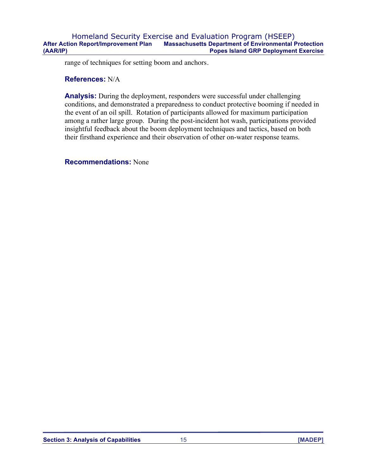range of techniques for setting boom and anchors.

#### **References:** N/A

**Analysis:** During the deployment, responders were successful under challenging conditions, and demonstrated a preparedness to conduct protective booming if needed in the event of an oil spill. Rotation of participants allowed for maximum participation among a rather large group. During the post-incident hot wash, participations provided insightful feedback about the boom deployment techniques and tactics, based on both their firsthand experience and their observation of other on-water response teams.

**Recommendations:** None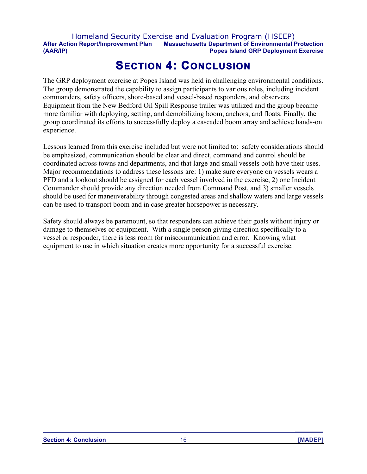## **SECTION 4: CONCLUSION**

The GRP deployment exercise at Popes Island was held in challenging environmental conditions. The group demonstrated the capability to assign participants to various roles, including incident commanders, safety officers, shore-based and vessel-based responders, and observers. Equipment from the New Bedford Oil Spill Response trailer was utilized and the group became more familiar with deploying, setting, and demobilizing boom, anchors, and floats. Finally, the group coordinated its efforts to successfully deploy a cascaded boom array and achieve hands-on experience.

Lessons learned from this exercise included but were not limited to: safety considerations should be emphasized, communication should be clear and direct, command and control should be coordinated across towns and departments, and that large and small vessels both have their uses. Major recommendations to address these lessons are: 1) make sure everyone on vessels wears a PFD and a lookout should be assigned for each vessel involved in the exercise, 2) one Incident Commander should provide any direction needed from Command Post, and 3) smaller vessels should be used for maneuverability through congested areas and shallow waters and large vessels can be used to transport boom and in case greater horsepower is necessary.

Safety should always be paramount, so that responders can achieve their goals without injury or damage to themselves or equipment. With a single person giving direction specifically to a vessel or responder, there is less room for miscommunication and error. Knowing what equipment to use in which situation creates more opportunity for a successful exercise.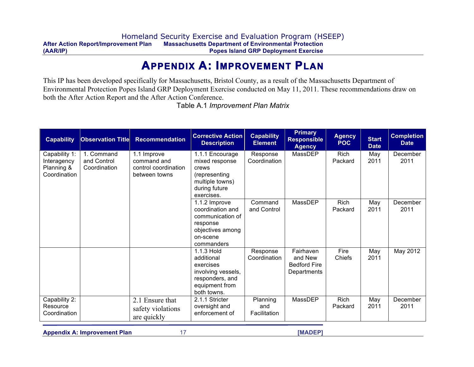## **APPENDIX A: IMPROVEMENT PLAN**

This IP has been developed specifically for Massachusetts, Bristol County, as a result of the Massachusetts Department of Environmental Protection Popes Island GRP Deployment Exercise conducted on May 11, 2011. These recommendations draw on both the After Action Report and the After Action Conference.

Table A.1 *Improvement Plan Matrix*

| <b>Capability</b>                                          | <b>Observation Title</b>                  | <b>Recommendation</b>                                               | <b>Corrective Action</b><br><b>Description</b>                                                                    | <b>Capability</b><br><b>Element</b> | <b>Primary</b><br><b>Responsible</b><br><b>Agency</b>      | <b>Agency</b><br><b>POC</b> | <b>Start</b><br><b>Date</b> | <b>Completion</b><br><b>Date</b> |
|------------------------------------------------------------|-------------------------------------------|---------------------------------------------------------------------|-------------------------------------------------------------------------------------------------------------------|-------------------------------------|------------------------------------------------------------|-----------------------------|-----------------------------|----------------------------------|
| Capability 1:<br>Interagency<br>Planning &<br>Coordination | 1. Command<br>and Control<br>Coordination | 1.1 Improve<br>command and<br>control coordination<br>between towns | 1.1.1 Encourage<br>mixed response<br>crews<br>(representing<br>multiple towns)<br>during future<br>exercises.     | Response<br>Coordination            | MassDEP                                                    | Rich<br>Packard             | May<br>2011                 | December<br>2011                 |
|                                                            |                                           |                                                                     | 1.1.2 Improve<br>coordination and<br>communication of<br>response<br>objectives among<br>on-scene<br>commanders   | Command<br>and Control              | MassDEP                                                    | Rich<br>Packard             | May<br>2011                 | December<br>2011                 |
|                                                            |                                           |                                                                     | $1.1.3$ Hold<br>additional<br>exercises<br>involving vessels,<br>responders, and<br>equipment from<br>both towns. | Response<br>Coordination            | Fairhaven<br>and New<br><b>Bedford Fire</b><br>Departments | Fire<br>Chiefs              | May<br>2011                 | May 2012                         |
| Capability 2:<br>Resource<br>Coordination                  |                                           | 2.1 Ensure that<br>safety violations<br>are quickly                 | 2.1.1 Stricter<br>oversight and<br>enforcement of                                                                 | Planning<br>and<br>Facilitation     | MassDEP                                                    | Rich<br>Packard             | May<br>2011                 | December<br>2011                 |

**Appendix A: Improvement Plan** 17 **17 [MADEP]**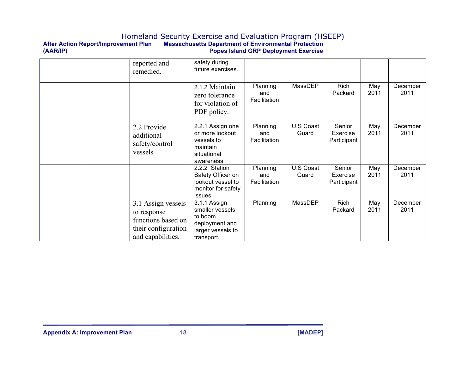#### Homeland Security Exercise and Evaluation Program (HSEEP) **After Action Report/Improvement Plan Massachusetts Department of Environmental Protection (AAR/IP) Popes Island GRP Deployment Exercise**

|  | reported and<br>remedied.                                                                           | safety during<br>future exercises.                                                              |                                 |                    |                                   |             |                  |
|--|-----------------------------------------------------------------------------------------------------|-------------------------------------------------------------------------------------------------|---------------------------------|--------------------|-----------------------------------|-------------|------------------|
|  |                                                                                                     | 2.1.2 Maintain<br>zero tolerance<br>for violation of<br>PDF policy.                             | Planning<br>and<br>Facilitation | MassDEP            | Rich<br>Packard                   | May<br>2011 | December<br>2011 |
|  | 2.2 Provide<br>additional<br>safety/control<br>vessels                                              | 2.2.1 Assign one<br>or more lookout<br>vessels to<br>maintain<br>situational<br>awareness       | Planning<br>and<br>Facilitation | U.S Coast<br>Guard | Sênior<br>Exercise<br>Participant | May<br>2011 | December<br>2011 |
|  |                                                                                                     | 2.2.2 Station<br>Safety Officer on<br>lookout vessel to<br>monitor for safety<br>issues         | Planning<br>and<br>Facilitation | U.S Coast<br>Guard | Sênior<br>Exercise<br>Participant | May<br>2011 | December<br>2011 |
|  | 3.1 Assign vessels<br>to response<br>functions based on<br>their configuration<br>and capabilities. | 3.1.1 Assign<br>smaller vessels<br>to boom<br>deployment and<br>larger vessels to<br>transport. | Planning                        | MassDEP            | Rich<br>Packard                   | May<br>2011 | December<br>2011 |